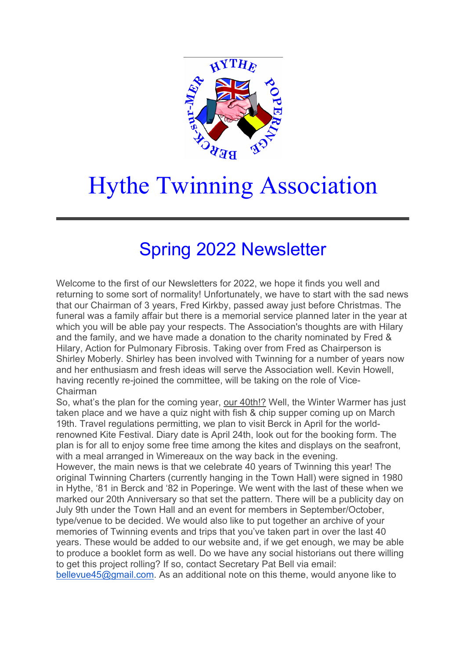

## Hythe Twinning Association

## Spring 2022 Newsletter

Welcome to the first of our Newsletters for 2022, we hope it finds you well and returning to some sort of normality! Unfortunately, we have to start with the sad news that our Chairman of 3 years, Fred Kirkby, passed away just before Christmas. The funeral was a family affair but there is a memorial service planned later in the year at which you will be able pay your respects. The Association's thoughts are with Hilary and the family, and we have made a donation to the charity nominated by Fred & Hilary, Action for Pulmonary Fibrosis. Taking over from Fred as Chairperson is Shirley Moberly. Shirley has been involved with Twinning for a number of years now and her enthusiasm and fresh ideas will serve the Association well. Kevin Howell, having recently re-joined the committee, will be taking on the role of Vice-Chairman

So, what's the plan for the coming year, our 40th!? Well, the Winter Warmer has just taken place and we have a quiz night with fish & chip supper coming up on March 19th. Travel regulations permitting, we plan to visit Berck in April for the worldrenowned Kite Festival. Diary date is April 24th, look out for the booking form. The plan is for all to enjoy some free time among the kites and displays on the seafront, with a meal arranged in Wimereaux on the way back in the evening.

However, the main news is that we celebrate 40 years of Twinning this year! The original Twinning Charters (currently hanging in the Town Hall) were signed in 1980 in Hythe, '81 in Berck and '82 in Poperinge. We went with the last of these when we marked our 20th Anniversary so that set the pattern. There will be a publicity day on July 9th under the Town Hall and an event for members in September/October, type/venue to be decided. We would also like to put together an archive of your memories of Twinning events and trips that you've taken part in over the last 40 years. These would be added to our website and, if we get enough, we may be able to produce a booklet form as well. Do we have any social historians out there willing to get this project rolling? If so, contact Secretary Pat Bell via email:

bellevue45@gmail.com. As an additional note on this theme, would anyone like to